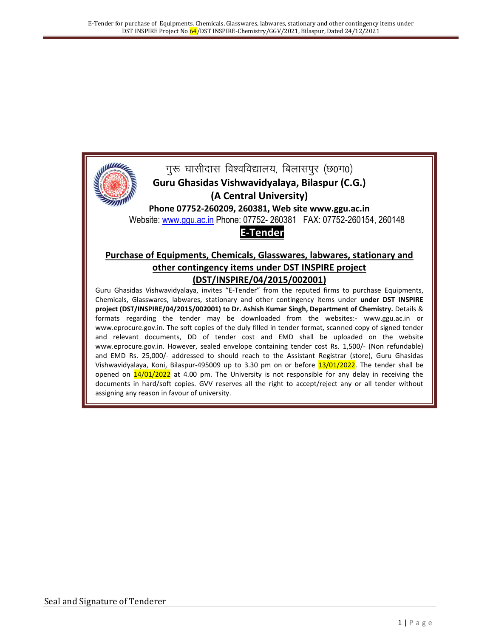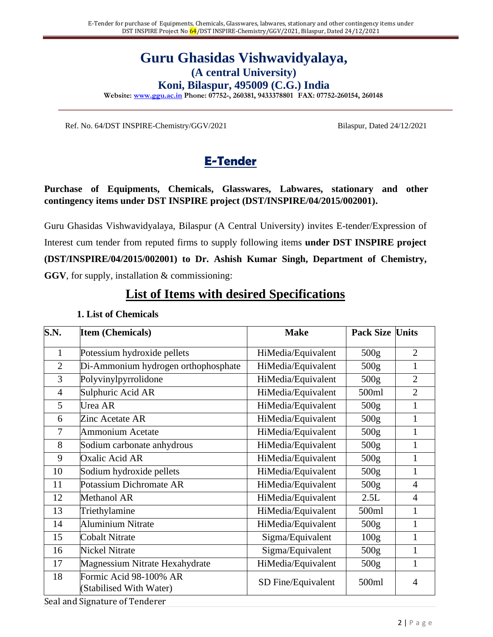# **Guru Ghasidas Vishwavidyalaya, (A central University)**

**Koni, Bilaspur, 495009 (C.G.) India**

**Website: www.ggu.ac.in Phone: 07752-, 260381, 9433378801 FAX: 07752-260154, 260148**

Ref. No. 64/DST INSPIRE-Chemistry/GGV/2021 Bilaspur, Dated 24/12/2021

# **E-Tender**

#### **Purchase of Equipments, Chemicals, Glasswares, Labwares, stationary and other contingency items under DST INSPIRE project (DST/INSPIRE/04/2015/002001).**

Guru Ghasidas Vishwavidyalaya, Bilaspur (A Central University) invites E-tender/Expression of Interest cum tender from reputed firms to supply following items **under DST INSPIRE project (DST/INSPIRE/04/2015/002001) to Dr. Ashish Kumar Singh, Department of Chemistry, GGV**, for supply, installation & commissioning:

# **List of Items with desired Specifications**

| S.N.           | <b>Item (Chemicals)</b>                           | <b>Make</b>        | <b>Pack Size</b> | Units          |
|----------------|---------------------------------------------------|--------------------|------------------|----------------|
| $\mathbf{1}$   | Potessium hydroxide pellets                       | HiMedia/Equivalent | 500g             | $\overline{2}$ |
| $\overline{2}$ | Di-Ammonium hydrogen orthophosphate               | HiMedia/Equivalent | 500 <sub>g</sub> |                |
| 3              | Polyvinylpyrrolidone                              | HiMedia/Equivalent | 500g             | $\overline{2}$ |
| 4              | Sulphuric Acid AR                                 | HiMedia/Equivalent | 500ml            | $\overline{2}$ |
| 5              | Urea AR                                           | HiMedia/Equivalent | 500 <sub>g</sub> |                |
| 6              | Zinc Acetate AR                                   | HiMedia/Equivalent | 500 <sub>g</sub> | 1              |
| 7              | <b>Ammonium Acetate</b>                           | HiMedia/Equivalent | 500 <sub>g</sub> |                |
| 8              | Sodium carbonate anhydrous                        | HiMedia/Equivalent | 500 <sub>g</sub> | $\mathbf{1}$   |
| 9              | Oxalic Acid AR                                    | HiMedia/Equivalent | 500 <sub>g</sub> | 1              |
| 10             | Sodium hydroxide pellets                          | HiMedia/Equivalent | 500 <sub>g</sub> | $\mathbf{1}$   |
| 11             | Potassium Dichromate AR                           | HiMedia/Equivalent | 500 <sub>g</sub> | 4              |
| 12             | Methanol AR                                       | HiMedia/Equivalent | 2.5L             | 4              |
| 13             | Triethylamine                                     | HiMedia/Equivalent | 500ml            | 1              |
| 14             | <b>Aluminium Nitrate</b>                          | HiMedia/Equivalent | 500 <sub>g</sub> | $\mathbf{1}$   |
| 15             | <b>Cobalt Nitrate</b>                             | Sigma/Equivalent   | 100 <sub>g</sub> | $\mathbf{1}$   |
| 16             | <b>Nickel Nitrate</b>                             | Sigma/Equivalent   | 500 <sub>g</sub> | 1              |
| 17             | Magnessium Nitrate Hexahydrate                    | HiMedia/Equivalent | 500 <sub>g</sub> | 1              |
| 18             | Formic Acid 98-100% AR<br>(Stabilised With Water) | SD Fine/Equivalent | 500ml            | 4              |

#### **1. List of Chemicals**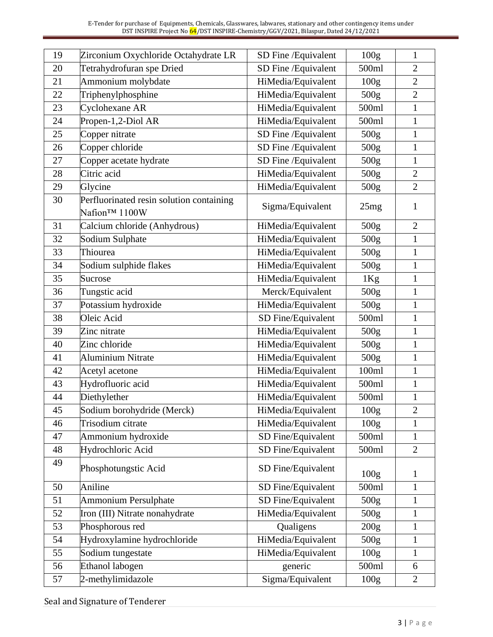| 19 | Zirconium Oxychloride Octahydrate LR                      | SD Fine / Equivalent | 100 <sub>g</sub> | $\mathbf{1}$   |
|----|-----------------------------------------------------------|----------------------|------------------|----------------|
| 20 | Tetrahydrofuran spe Dried                                 | SD Fine / Equivalent | 500ml            | $\overline{2}$ |
| 21 | Ammonium molybdate                                        | HiMedia/Equivalent   | 100g             | $\overline{2}$ |
| 22 | Triphenylphosphine                                        | HiMedia/Equivalent   | 500 <sub>g</sub> | $\overline{2}$ |
| 23 | Cyclohexane AR                                            | HiMedia/Equivalent   | 500ml            | $\mathbf{1}$   |
| 24 | Propen-1,2-Diol AR                                        | HiMedia/Equivalent   | 500ml            | $\mathbf{1}$   |
| 25 | Copper nitrate                                            | SD Fine / Equivalent | 500g             | $\mathbf{1}$   |
| 26 | Copper chloride                                           | SD Fine / Equivalent | 500g             | $\mathbf{1}$   |
| 27 | Copper acetate hydrate                                    | SD Fine / Equivalent | 500g             | $\mathbf{1}$   |
| 28 | Citric acid                                               | HiMedia/Equivalent   | 500g             | $\overline{2}$ |
| 29 | Glycine                                                   | HiMedia/Equivalent   | 500 <sub>g</sub> | $\overline{2}$ |
| 30 | Perfluorinated resin solution containing<br>Nafion™ 1100W | Sigma/Equivalent     | 25mg             | 1              |
| 31 | Calcium chloride (Anhydrous)                              | HiMedia/Equivalent   | 500 <sub>g</sub> | $\overline{2}$ |
| 32 | Sodium Sulphate                                           | HiMedia/Equivalent   | 500g             | $\mathbf{1}$   |
| 33 | Thiourea                                                  | HiMedia/Equivalent   | 500g             | $\mathbf{1}$   |
| 34 | Sodium sulphide flakes                                    | HiMedia/Equivalent   | 500 <sub>g</sub> | $\mathbf{1}$   |
| 35 | Sucrose                                                   | HiMedia/Equivalent   | 1Kg              | $\mathbf{1}$   |
| 36 | Tungstic acid                                             | Merck/Equivalent     | 500 <sub>g</sub> | $\mathbf{1}$   |
| 37 | Potassium hydroxide                                       | HiMedia/Equivalent   | 500 <sub>g</sub> | $\mathbf{1}$   |
| 38 | Oleic Acid                                                | SD Fine/Equivalent   | 500ml            | $\mathbf{1}$   |
| 39 | Zinc nitrate                                              | HiMedia/Equivalent   | 500 <sub>g</sub> | $\mathbf{1}$   |
| 40 | Zinc chloride                                             | HiMedia/Equivalent   | 500 <sub>g</sub> | $\mathbf{1}$   |
| 41 | <b>Aluminium Nitrate</b>                                  | HiMedia/Equivalent   | 500 <sub>g</sub> | 1              |
| 42 | Acetyl acetone                                            | HiMedia/Equivalent   | 100ml            | $\mathbf{1}$   |
| 43 | Hydrofluoric acid                                         | HiMedia/Equivalent   | 500ml            | $\mathbf{1}$   |
| 44 | Diethylether                                              | HiMedia/Equivalent   | 500ml            | $\mathbf{1}$   |
| 45 | Sodium borohydride (Merck)                                | HiMedia/Equivalent   | 100 <sub>g</sub> | $\overline{2}$ |
| 46 | Trisodium citrate                                         | HiMedia/Equivalent   | 100 <sub>g</sub> | $\mathbf{1}$   |
| 47 | Ammonium hydroxide                                        | SD Fine/Equivalent   | 500ml            | $\mathbf{1}$   |
| 48 | Hydrochloric Acid                                         | SD Fine/Equivalent   | 500ml            | $\overline{2}$ |
| 49 | Phosphotungstic Acid                                      | SD Fine/Equivalent   | 100 <sub>g</sub> | $\mathbf{1}$   |
| 50 | Aniline                                                   | SD Fine/Equivalent   | 500ml            | $\mathbf{1}$   |
| 51 | <b>Ammonium Persulphate</b>                               | SD Fine/Equivalent   | 500g             | $\mathbf{1}$   |
| 52 | Iron (III) Nitrate nonahydrate                            | HiMedia/Equivalent   | 500 <sub>g</sub> | $\mathbf{1}$   |
| 53 | Phosphorous red                                           | Qualigens            | 200g             | $\mathbf{1}$   |
| 54 | Hydroxylamine hydrochloride                               | HiMedia/Equivalent   | 500 <sub>g</sub> | 1              |
| 55 | Sodium tungestate                                         | HiMedia/Equivalent   | 100 <sub>g</sub> | $\mathbf{1}$   |
| 56 | Ethanol labogen                                           | generic              | 500ml            | 6              |
| 57 | 2-methylimidazole                                         | Sigma/Equivalent     | 100g             | $\overline{2}$ |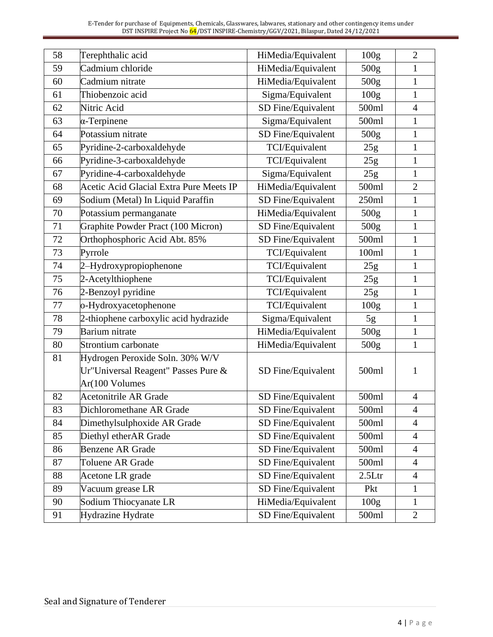| 58 | Terephthalic acid                       | HiMedia/Equivalent | 100 <sub>g</sub> | $\overline{2}$ |
|----|-----------------------------------------|--------------------|------------------|----------------|
| 59 | Cadmium chloride                        | HiMedia/Equivalent | 500 <sub>g</sub> | $\mathbf{1}$   |
| 60 | Cadmium nitrate                         | HiMedia/Equivalent | 500 <sub>g</sub> | $\mathbf{1}$   |
| 61 | Thiobenzoic acid                        | Sigma/Equivalent   | 100g             | $\mathbf{1}$   |
| 62 | Nitric Acid                             | SD Fine/Equivalent | 500ml            | $\overline{4}$ |
| 63 | $\alpha$ -Terpinene                     | Sigma/Equivalent   | 500ml            | 1              |
| 64 | Potassium nitrate                       | SD Fine/Equivalent | 500 <sub>g</sub> | $\mathbf{1}$   |
| 65 | Pyridine-2-carboxaldehyde               | TCI/Equivalent     | 25g              | $\mathbf{1}$   |
| 66 | Pyridine-3-carboxaldehyde               | TCI/Equivalent     | 25g              | $\mathbf{1}$   |
| 67 | Pyridine-4-carboxaldehyde               | Sigma/Equivalent   | 25g              | $\mathbf{1}$   |
| 68 | Acetic Acid Glacial Extra Pure Meets IP | HiMedia/Equivalent | 500ml            | $\overline{2}$ |
| 69 | Sodium (Metal) In Liquid Paraffin       | SD Fine/Equivalent | 250ml            | $\mathbf{1}$   |
| 70 | Potassium permanganate                  | HiMedia/Equivalent | 500 <sub>g</sub> | $\mathbf{1}$   |
| 71 | Graphite Powder Pract (100 Micron)      | SD Fine/Equivalent | 500g             | $\mathbf{1}$   |
| 72 | Orthophosphoric Acid Abt. 85%           | SD Fine/Equivalent | 500ml            | $\mathbf{1}$   |
| 73 | Pyrrole                                 | TCI/Equivalent     | 100ml            | $\mathbf{1}$   |
| 74 | 2-Hydroxypropiophenone                  | TCI/Equivalent     | 25g              | $\mathbf{1}$   |
| 75 | 2-Acetylthiophene                       | TCI/Equivalent     | 25g              | $\mathbf{1}$   |
| 76 | 2-Benzoyl pyridine                      | TCI/Equivalent     | 25g              | $\mathbf{1}$   |
| 77 | o-Hydroxyacetophenone                   | TCI/Equivalent     | 100 <sub>g</sub> | $\mathbf{1}$   |
| 78 | 2-thiophene carboxylic acid hydrazide   | Sigma/Equivalent   | 5g               | $\mathbf{1}$   |
| 79 | Barium nitrate                          | HiMedia/Equivalent | 500g             | $\mathbf{1}$   |
| 80 | Strontium carbonate                     | HiMedia/Equivalent | 500 <sub>g</sub> | $\mathbf{1}$   |
| 81 | Hydrogen Peroxide Soln. 30% W/V         |                    |                  |                |
|    | Ur"Universal Reagent" Passes Pure &     | SD Fine/Equivalent | 500ml            | 1              |
|    | Ar(100 Volumes                          |                    |                  |                |
| 82 | <b>Acetonitrile AR Grade</b>            | SD Fine/Equivalent | 500ml            | $\overline{4}$ |
| 83 | Dichloromethane AR Grade                | SD Fine/Equivalent | 500ml            | 4              |
| 84 | Dimethylsulphoxide AR Grade             | SD Fine/Equivalent | 500ml            | $\overline{4}$ |
| 85 | Diethyl etherAR Grade                   | SD Fine/Equivalent | 500ml            | $\overline{4}$ |
| 86 | <b>Benzene AR Grade</b>                 | SD Fine/Equivalent | 500ml            | $\overline{4}$ |
| 87 | Toluene AR Grade                        | SD Fine/Equivalent | 500ml            | $\overline{4}$ |
| 88 | Acetone LR grade                        | SD Fine/Equivalent | 2.5Ltr           | $\overline{4}$ |
| 89 | Vacuum grease LR                        | SD Fine/Equivalent | Pkt              | $\mathbf{1}$   |
| 90 | Sodium Thiocyanate LR                   | HiMedia/Equivalent | 100 <sub>g</sub> | 1              |
| 91 | Hydrazine Hydrate                       | SD Fine/Equivalent | 500ml            | $\overline{2}$ |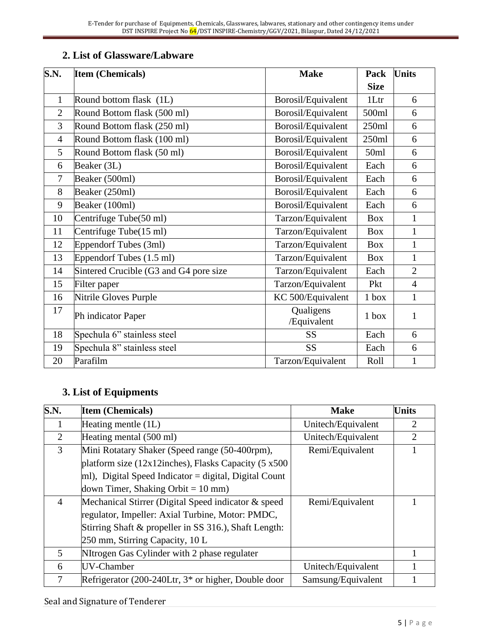## **2. List of Glassware/Labware**

| S.N.<br><b>Item (Chemicals)</b> |                                        | <b>Make</b>              | Pack        | <b>Units</b>   |
|---------------------------------|----------------------------------------|--------------------------|-------------|----------------|
|                                 |                                        |                          | <b>Size</b> |                |
| $\mathbf{1}$                    | Round bottom flask (1L)                | Borosil/Equivalent       | 1Ltr        | 6              |
| $\overline{2}$                  | Round Bottom flask (500 ml)            | Borosil/Equivalent       | 500ml       | 6              |
| 3                               | Round Bottom flask (250 ml)            | Borosil/Equivalent       | 250ml       | 6              |
| $\overline{4}$                  | Round Bottom flask (100 ml)            | Borosil/Equivalent       | 250ml       | 6              |
| 5                               | Round Bottom flask (50 ml)             | Borosil/Equivalent       | 50ml        | 6              |
| 6                               | Beaker (3L)                            | Borosil/Equivalent       | Each        | 6              |
| $\tau$                          | Beaker (500ml)                         | Borosil/Equivalent       | Each        | 6              |
| 8                               | Beaker (250ml)                         | Borosil/Equivalent       | Each        | 6              |
| 9                               | Beaker (100ml)                         | Borosil/Equivalent       | Each        | 6              |
| 10                              | Centrifuge Tube(50 ml)                 | Tarzon/Equivalent        | <b>Box</b>  | $\mathbf{1}$   |
| 11                              | Centrifuge Tube(15 ml)                 | Tarzon/Equivalent        | <b>Box</b>  | $\mathbf{1}$   |
| 12                              | Eppendorf Tubes (3ml)                  | Tarzon/Equivalent        | <b>Box</b>  | $\mathbf{1}$   |
| 13                              | Eppendorf Tubes (1.5 ml)               | Tarzon/Equivalent        | Box         | $\mathbf{1}$   |
| 14                              | Sintered Crucible (G3 and G4 pore size | Tarzon/Equivalent        | Each        | $\overline{2}$ |
| 15                              | Filter paper                           | Tarzon/Equivalent        | Pkt         | $\overline{4}$ |
| 16                              | Nitrile Gloves Purple                  | KC 500/Equivalent        | $1$ box     | $\mathbf{1}$   |
| 17                              | Ph indicator Paper                     | Qualigens<br>/Equivalent | $1$ box     | $\mathbf{1}$   |
| 18                              | Spechula 6" stainless steel            | <b>SS</b>                | Each        | 6              |
| 19                              | Spechula 8" stainless steel            | <b>SS</b>                | Each        | 6              |
| 20                              | Parafilm                               | Tarzon/Equivalent        | Roll        | $\mathbf{1}$   |

## **3. List of Equipments**

| S.N.           | <b>Item (Chemicals)</b>                                           | <b>Make</b>        | <b>Units</b>                |
|----------------|-------------------------------------------------------------------|--------------------|-----------------------------|
| Ι.             | Heating mentle (1L)                                               | Unitech/Equivalent | 2                           |
| $\overline{2}$ | Heating mental (500 ml)                                           | Unitech/Equivalent | $\mathcal{D}_{\mathcal{L}}$ |
| 3              | Mini Rotatary Shaker (Speed range (50-400rpm),<br>Remi/Equivalent |                    |                             |
|                | platform size $(12x12$ inches), Flasks Capacity $(5x500)$         |                    |                             |
|                | $ m $ , Digital Speed Indicator = digital, Digital Count          |                    |                             |
|                | down Timer, Shaking Orbit = $10 \text{ mm}$ )                     |                    |                             |
| $\overline{4}$ | Mechanical Stirrer (Digital Speed indicator & speed               | Remi/Equivalent    |                             |
|                | regulator, Impeller: Axial Turbine, Motor: PMDC,                  |                    |                             |
|                | Stirring Shaft & propeller in SS 316.), Shaft Length:             |                    |                             |
|                | 250 mm, Stirring Capacity, 10 L                                   |                    |                             |
| 5              | NItrogen Gas Cylinder with 2 phase regulater                      |                    |                             |
| 6              | UV-Chamber                                                        | Unitech/Equivalent |                             |
| 7              | Refrigerator (200-240Ltr, 3 <sup>*</sup> or higher, Double door   | Samsung/Equivalent |                             |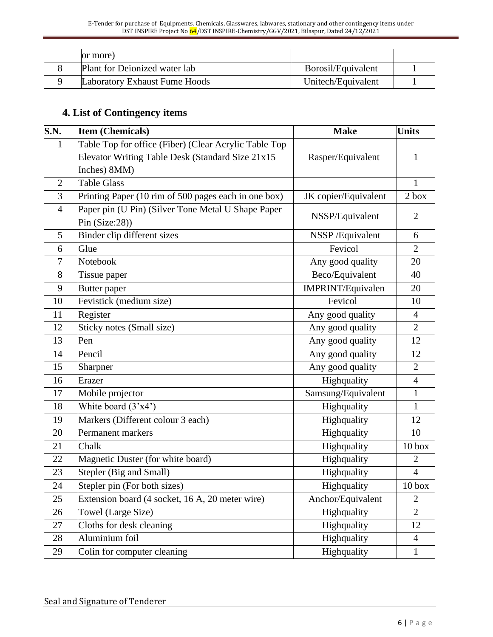|  | or more)                      |                    |  |
|--|-------------------------------|--------------------|--|
|  | Plant for Deionized water lab | Borosil/Equivalent |  |
|  | Laboratory Exhaust Fume Hoods | Unitech/Equivalent |  |

# **4. List of Contingency items**

| S.N.           | <b>Item (Chemicals)</b>                               | <b>Make</b>          | <b>Units</b>      |
|----------------|-------------------------------------------------------|----------------------|-------------------|
| $\mathbf{1}$   | Table Top for office (Fiber) (Clear Acrylic Table Top |                      |                   |
|                | Elevator Writing Table Desk (Standard Size 21x15      | Rasper/Equivalent    | 1                 |
|                | Inches) 8MM)                                          |                      |                   |
| $\overline{2}$ | <b>Table Glass</b>                                    |                      | $\mathbf{1}$      |
| 3              | Printing Paper (10 rim of 500 pages each in one box)  | JK copier/Equivalent | $2$ box           |
| $\overline{4}$ | Paper pin (U Pin) (Silver Tone Metal U Shape Paper    |                      | $\overline{2}$    |
|                | Pin $(Size:28)$                                       | NSSP/Equivalent      |                   |
| 5              | Binder clip different sizes                           | NSSP/Equivalent      | 6                 |
| 6              | Glue                                                  | Fevicol              | $\overline{2}$    |
| $\overline{7}$ | Notebook                                              | Any good quality     | 20                |
| 8              | Tissue paper                                          | Beco/Equivalent      | 40                |
| 9              | Butter paper                                          | IMPRINT/Equivalen    | 20                |
| 10             | Fevistick (medium size)                               | Fevicol              | 10                |
| 11             | Register                                              | Any good quality     | $\overline{4}$    |
| 12             | Sticky notes (Small size)                             | Any good quality     | $\overline{2}$    |
| 13             | Pen                                                   | Any good quality     | 12                |
| 14             | Pencil                                                | Any good quality     | 12                |
| 15             | Sharpner                                              | Any good quality     | $\overline{2}$    |
| 16             | Erazer                                                | Highquality          | $\overline{4}$    |
| 17             | Mobile projector                                      | Samsung/Equivalent   | $\mathbf{1}$      |
| 18             | White board $(3'x4')$                                 | Highquality          | $\mathbf{1}$      |
| 19             | Markers (Different colour 3 each)                     | Highquality          | 12                |
| 20             | Permanent markers                                     | Highquality          | 10                |
| 21             | Chalk                                                 | Highquality          | 10 <sub>box</sub> |
| 22             | Magnetic Duster (for white board)                     | Highquality          | $\overline{2}$    |
| 23             | Stepler (Big and Small)                               | Highquality          | $\overline{4}$    |
| 24             | Stepler pin (For both sizes)                          | Highquality          | 10 <sub>box</sub> |
| 25             | Extension board (4 socket, 16 A, 20 meter wire)       | Anchor/Equivalent    | $\overline{2}$    |
| 26             | Towel (Large Size)                                    | Highquality          | $\overline{2}$    |
| 27             | Cloths for desk cleaning                              | Highquality          | 12                |
| 28             | Aluminium foil                                        | Highquality          | $\overline{4}$    |
| 29             | Colin for computer cleaning                           | Highquality          | $\mathbf 1$       |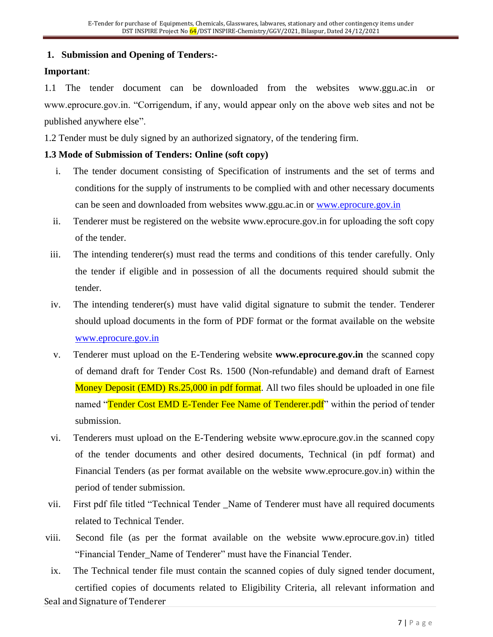#### **1. Submission and Opening of Tenders:-**

#### **Important**:

1.1 The tender document can be downloaded from the websites www.ggu.ac.in or www.eprocure.gov.in. "Corrigendum, if any, would appear only on the above web sites and not be published anywhere else".

1.2 Tender must be duly signed by an authorized signatory, of the tendering firm.

#### **1.3 Mode of Submission of Tenders: Online (soft copy)**

- i. The tender document consisting of Specification of instruments and the set of terms and conditions for the supply of instruments to be complied with and other necessary documents can be seen and downloaded from websites www.ggu.ac.in or [www.eprocure.gov.in](http://www.eprocure.gov.in/)
- ii. Tenderer must be registered on the website www.eprocure.gov.in for uploading the soft copy of the tender.
- iii. The intending tenderer(s) must read the terms and conditions of this tender carefully. Only the tender if eligible and in possession of all the documents required should submit the tender.
- iv. The intending tenderer(s) must have valid digital signature to submit the tender. Tenderer should upload documents in the form of PDF format or the format available on the website [www.eprocure.gov.in](http://www.eprocure.gov.in/)
- v. Tenderer must upload on the E-Tendering website **www.eprocure.gov.in** the scanned copy of demand draft for Tender Cost Rs. 1500 (Non-refundable) and demand draft of Earnest Money Deposit (EMD) Rs.25,000 in pdf format. All two files should be uploaded in one file named "Tender Cost EMD E-Tender Fee Name of Tenderer.pdf" within the period of tender submission.
- vi. Tenderers must upload on the E-Tendering website www.eprocure.gov.in the scanned copy of the tender documents and other desired documents, Technical (in pdf format) and Financial Tenders (as per format available on the website www.eprocure.gov.in) within the period of tender submission.
- vii. First pdf file titled "Technical Tender \_Name of Tenderer must have all required documents related to Technical Tender.
- viii. Second file (as per the format available on the website www.eprocure.gov.in) titled "Financial Tender Name of Tenderer" must have the Financial Tender.
- Seal and Signature of Tenderer ix. The Technical tender file must contain the scanned copies of duly signed tender document, certified copies of documents related to Eligibility Criteria, all relevant information and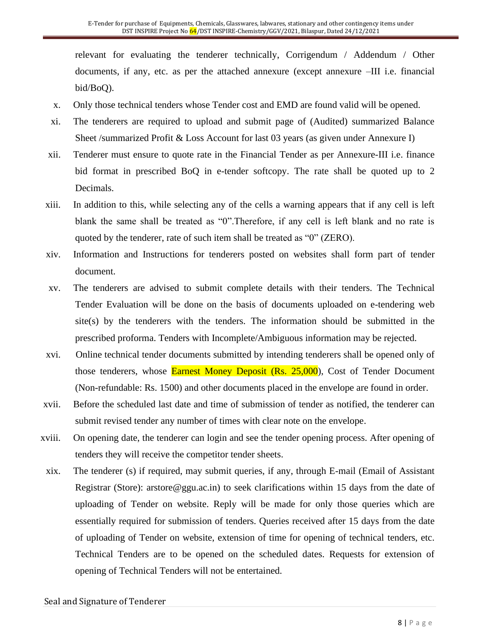relevant for evaluating the tenderer technically, Corrigendum / Addendum / Other documents, if any, etc. as per the attached annexure (except annexure –III i.e. financial bid/BoQ).

- x. Only those technical tenders whose Tender cost and EMD are found valid will be opened.
- xi. The tenderers are required to upload and submit page of (Audited) summarized Balance Sheet /summarized Profit & Loss Account for last 03 years (as given under Annexure I)
- xii. Tenderer must ensure to quote rate in the Financial Tender as per Annexure-III i.e. finance bid format in prescribed BoQ in e-tender softcopy. The rate shall be quoted up to 2 Decimals.
- xiii. In addition to this, while selecting any of the cells a warning appears that if any cell is left blank the same shall be treated as "0".Therefore, if any cell is left blank and no rate is quoted by the tenderer, rate of such item shall be treated as "0" (ZERO).
- xiv. Information and Instructions for tenderers posted on websites shall form part of tender document.
- xv. The tenderers are advised to submit complete details with their tenders. The Technical Tender Evaluation will be done on the basis of documents uploaded on e-tendering web site(s) by the tenderers with the tenders. The information should be submitted in the prescribed proforma. Tenders with Incomplete/Ambiguous information may be rejected.
- xvi. Online technical tender documents submitted by intending tenderers shall be opened only of those tenderers, whose **Earnest Money Deposit (Rs. 25,000**), Cost of Tender Document (Non-refundable: Rs. 1500) and other documents placed in the envelope are found in order.
- xvii. Before the scheduled last date and time of submission of tender as notified, the tenderer can submit revised tender any number of times with clear note on the envelope.
- xviii. On opening date, the tenderer can login and see the tender opening process. After opening of tenders they will receive the competitor tender sheets.
- xix. The tenderer (s) if required, may submit queries, if any, through E-mail (Email of Assistant Registrar (Store): arstore@ggu.ac.in) to seek clarifications within 15 days from the date of uploading of Tender on website. Reply will be made for only those queries which are essentially required for submission of tenders. Queries received after 15 days from the date of uploading of Tender on website, extension of time for opening of technical tenders, etc. Technical Tenders are to be opened on the scheduled dates. Requests for extension of opening of Technical Tenders will not be entertained.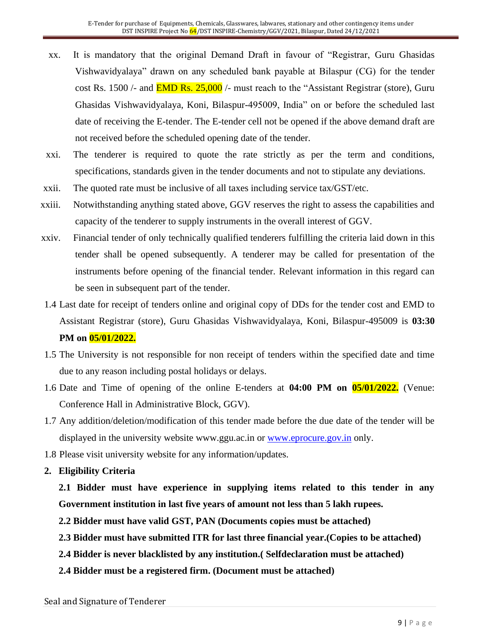- xx. It is mandatory that the original Demand Draft in favour of "Registrar, Guru Ghasidas Vishwavidyalaya" drawn on any scheduled bank payable at Bilaspur (CG) for the tender cost Rs. 1500 /- and  $\overline{EMD}$  Rs. 25,000 /- must reach to the "Assistant Registrar (store), Guru Ghasidas Vishwavidyalaya, Koni, Bilaspur-495009, India" on or before the scheduled last date of receiving the E-tender. The E-tender cell not be opened if the above demand draft are not received before the scheduled opening date of the tender.
- xxi. The tenderer is required to quote the rate strictly as per the term and conditions, specifications, standards given in the tender documents and not to stipulate any deviations.
- xxii. The quoted rate must be inclusive of all taxes including service tax/GST/etc.
- xxiii. Notwithstanding anything stated above, GGV reserves the right to assess the capabilities and capacity of the tenderer to supply instruments in the overall interest of GGV.
- xxiv. Financial tender of only technically qualified tenderers fulfilling the criteria laid down in this tender shall be opened subsequently. A tenderer may be called for presentation of the instruments before opening of the financial tender. Relevant information in this regard can be seen in subsequent part of the tender.
- 1.4 Last date for receipt of tenders online and original copy of DDs for the tender cost and EMD to Assistant Registrar (store), Guru Ghasidas Vishwavidyalaya, Koni, Bilaspur-495009 is **03:30 PM on 05/01/2022.**
- 1.5 The University is not responsible for non receipt of tenders within the specified date and time due to any reason including postal holidays or delays.
- 1.6 Date and Time of opening of the online E-tenders at **04:00 PM on 05/01/2022.** (Venue: Conference Hall in Administrative Block, GGV).
- 1.7 Any addition/deletion/modification of this tender made before the due date of the tender will be displayed in the university website www.ggu.ac.in or [www.eprocure.gov.in](http://www.eprocure.gov.in/) only.
- 1.8 Please visit university website for any information/updates.
- **2. Eligibility Criteria**
	- **2.1 Bidder must have experience in supplying items related to this tender in any Government institution in last five years of amount not less than 5 lakh rupees.**
	- **2.2 Bidder must have valid GST, PAN (Documents copies must be attached)**
	- **2.3 Bidder must have submitted ITR for last three financial year.(Copies to be attached)**
	- **2.4 Bidder is never blacklisted by any institution.( Selfdeclaration must be attached)**
	- **2.4 Bidder must be a registered firm. (Document must be attached)**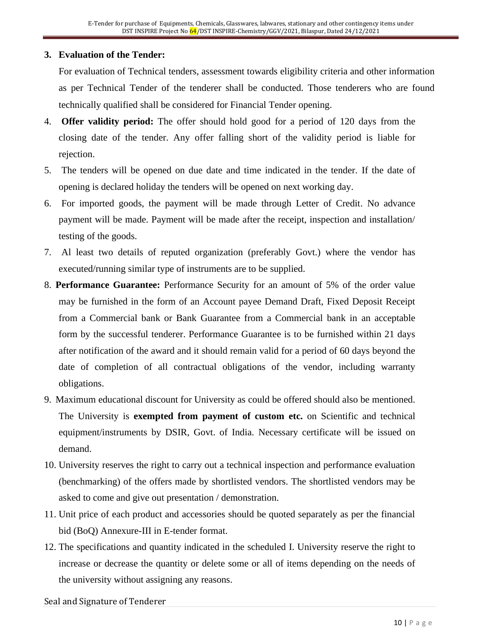#### **3. Evaluation of the Tender:**

For evaluation of Technical tenders, assessment towards eligibility criteria and other information as per Technical Tender of the tenderer shall be conducted. Those tenderers who are found technically qualified shall be considered for Financial Tender opening.

- 4. **Offer validity period:** The offer should hold good for a period of 120 days from the closing date of the tender. Any offer falling short of the validity period is liable for rejection.
- 5. The tenders will be opened on due date and time indicated in the tender. If the date of opening is declared holiday the tenders will be opened on next working day.
- 6. For imported goods, the payment will be made through Letter of Credit. No advance payment will be made. Payment will be made after the receipt, inspection and installation/ testing of the goods.
- 7. Al least two details of reputed organization (preferably Govt.) where the vendor has executed/running similar type of instruments are to be supplied.
- 8. **Performance Guarantee:** Performance Security for an amount of 5% of the order value may be furnished in the form of an Account payee Demand Draft, Fixed Deposit Receipt from a Commercial bank or Bank Guarantee from a Commercial bank in an acceptable form by the successful tenderer. Performance Guarantee is to be furnished within 21 days after notification of the award and it should remain valid for a period of 60 days beyond the date of completion of all contractual obligations of the vendor, including warranty obligations.
- 9. Maximum educational discount for University as could be offered should also be mentioned. The University is **exempted from payment of custom etc.** on Scientific and technical equipment/instruments by DSIR, Govt. of India. Necessary certificate will be issued on demand.
- 10. University reserves the right to carry out a technical inspection and performance evaluation (benchmarking) of the offers made by shortlisted vendors. The shortlisted vendors may be asked to come and give out presentation / demonstration.
- 11. Unit price of each product and accessories should be quoted separately as per the financial bid (BoQ) Annexure-III in E-tender format.
- 12. The specifications and quantity indicated in the scheduled I. University reserve the right to increase or decrease the quantity or delete some or all of items depending on the needs of the university without assigning any reasons.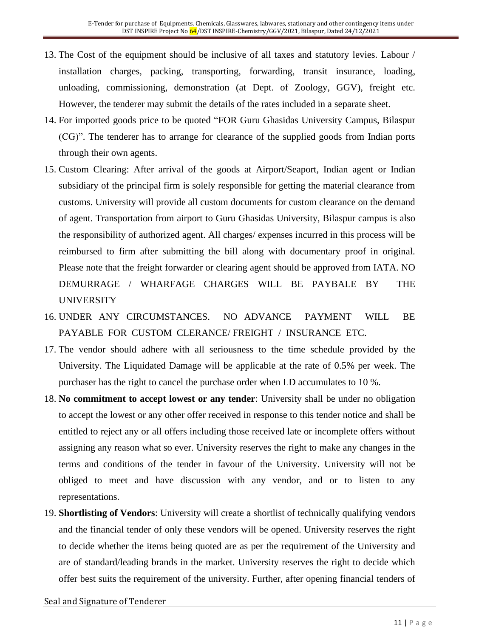- 13. The Cost of the equipment should be inclusive of all taxes and statutory levies. Labour / installation charges, packing, transporting, forwarding, transit insurance, loading, unloading, commissioning, demonstration (at Dept. of Zoology, GGV), freight etc. However, the tenderer may submit the details of the rates included in a separate sheet.
- 14. For imported goods price to be quoted "FOR Guru Ghasidas University Campus, Bilaspur (CG)". The tenderer has to arrange for clearance of the supplied goods from Indian ports through their own agents.
- 15. Custom Clearing: After arrival of the goods at Airport/Seaport, Indian agent or Indian subsidiary of the principal firm is solely responsible for getting the material clearance from customs. University will provide all custom documents for custom clearance on the demand of agent. Transportation from airport to Guru Ghasidas University, Bilaspur campus is also the responsibility of authorized agent. All charges/ expenses incurred in this process will be reimbursed to firm after submitting the bill along with documentary proof in original. Please note that the freight forwarder or clearing agent should be approved from IATA. NO DEMURRAGE / WHARFAGE CHARGES WILL BE PAYBALE BY THE UNIVERSITY
- 16. UNDER ANY CIRCUMSTANCES. NO ADVANCE PAYMENT WILL BE PAYABLE FOR CUSTOM CLERANCE/ FREIGHT / INSURANCE ETC.
- 17. The vendor should adhere with all seriousness to the time schedule provided by the University. The Liquidated Damage will be applicable at the rate of 0.5% per week. The purchaser has the right to cancel the purchase order when LD accumulates to 10 %.
- 18. **No commitment to accept lowest or any tender**: University shall be under no obligation to accept the lowest or any other offer received in response to this tender notice and shall be entitled to reject any or all offers including those received late or incomplete offers without assigning any reason what so ever. University reserves the right to make any changes in the terms and conditions of the tender in favour of the University. University will not be obliged to meet and have discussion with any vendor, and or to listen to any representations.
- 19. **Shortlisting of Vendors**: University will create a shortlist of technically qualifying vendors and the financial tender of only these vendors will be opened. University reserves the right to decide whether the items being quoted are as per the requirement of the University and are of standard/leading brands in the market. University reserves the right to decide which offer best suits the requirement of the university. Further, after opening financial tenders of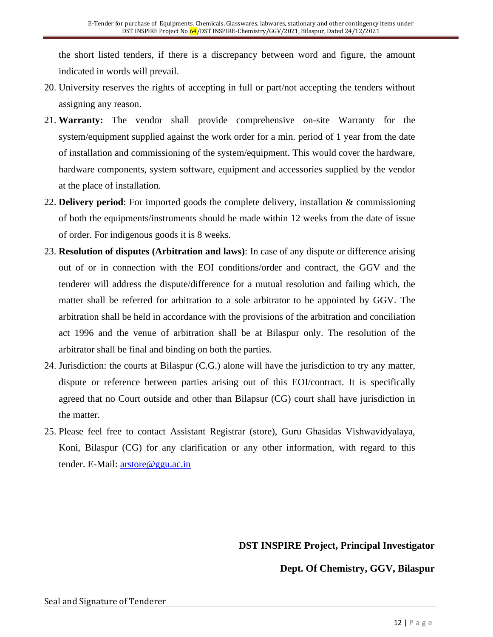the short listed tenders, if there is a discrepancy between word and figure, the amount indicated in words will prevail.

- 20. University reserves the rights of accepting in full or part/not accepting the tenders without assigning any reason.
- 21. **Warranty:** The vendor shall provide comprehensive on-site Warranty for the system/equipment supplied against the work order for a min. period of 1 year from the date of installation and commissioning of the system/equipment. This would cover the hardware, hardware components, system software, equipment and accessories supplied by the vendor at the place of installation.
- 22. **Delivery period**: For imported goods the complete delivery, installation & commissioning of both the equipments/instruments should be made within 12 weeks from the date of issue of order. For indigenous goods it is 8 weeks.
- 23. **Resolution of disputes (Arbitration and laws)**: In case of any dispute or difference arising out of or in connection with the EOI conditions/order and contract, the GGV and the tenderer will address the dispute/difference for a mutual resolution and failing which, the matter shall be referred for arbitration to a sole arbitrator to be appointed by GGV. The arbitration shall be held in accordance with the provisions of the arbitration and conciliation act 1996 and the venue of arbitration shall be at Bilaspur only. The resolution of the arbitrator shall be final and binding on both the parties.
- 24. Jurisdiction: the courts at Bilaspur (C.G.) alone will have the jurisdiction to try any matter, dispute or reference between parties arising out of this EOI/contract. It is specifically agreed that no Court outside and other than Bilapsur (CG) court shall have jurisdiction in the matter.
- 25. Please feel free to contact Assistant Registrar (store), Guru Ghasidas Vishwavidyalaya, Koni, Bilaspur (CG) for any clarification or any other information, with regard to this tender. E-Mail: [arstore@ggu.ac.in](mailto:arstore@ggu.ac.in)

### **DST INSPIRE Project, Principal Investigator**

#### **Dept. Of Chemistry, GGV, Bilaspur**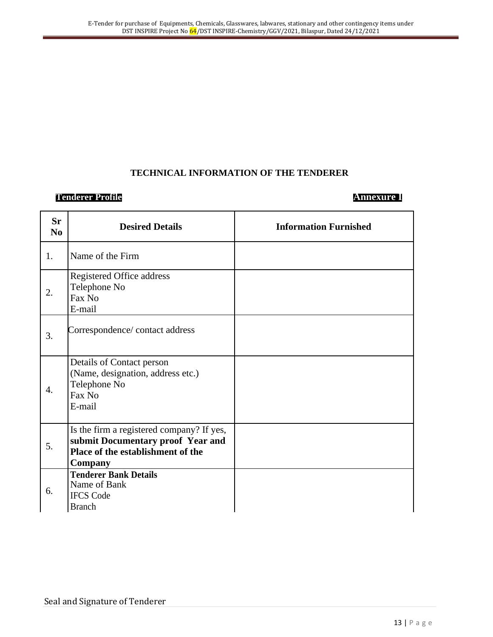#### **TECHNICAL INFORMATION OF THE TENDERER**

#### **Tenderer Profile Annexure I**

| <b>Sr</b><br>N <sub>0</sub> | <b>Desired Details</b>                                                                                                                | <b>Information Furnished</b> |
|-----------------------------|---------------------------------------------------------------------------------------------------------------------------------------|------------------------------|
| 1.                          | Name of the Firm                                                                                                                      |                              |
| 2.                          | Registered Office address<br>Telephone No<br>Fax No<br>E-mail                                                                         |                              |
| 3.                          | Correspondence/contact address                                                                                                        |                              |
| $\overline{4}$ .            | Details of Contact person<br>(Name, designation, address etc.)<br>Telephone No<br>Fax No<br>E-mail                                    |                              |
| 5.                          | Is the firm a registered company? If yes,<br>submit Documentary proof Year and<br>Place of the establishment of the<br><b>Company</b> |                              |
| 6.                          | <b>Tenderer Bank Details</b><br>Name of Bank<br><b>IFCS Code</b><br><b>Branch</b>                                                     |                              |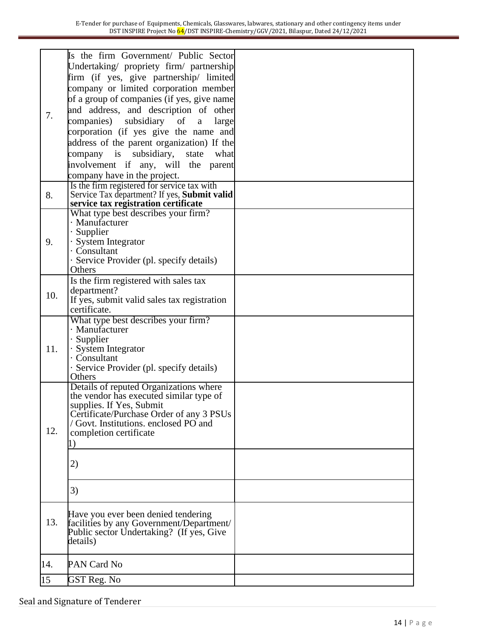|     | Is the firm Government/ Public Sector              |  |
|-----|----------------------------------------------------|--|
|     | Undertaking/ propriety firm/ partnership           |  |
|     | firm (if yes, give partnership/ limited            |  |
|     | company or limited corporation member              |  |
| 7.  | of a group of companies (if yes, give name         |  |
|     |                                                    |  |
|     | and address, and description of other              |  |
|     | subsidiary of<br>companies)<br>a<br>large          |  |
|     | corporation (if yes give the name and              |  |
|     | address of the parent organization) If the         |  |
|     | subsidiary,<br>company is<br>what<br>state         |  |
|     | involvement if any, will the parent                |  |
|     | company have in the project.                       |  |
|     | Is the firm registered for service tax with        |  |
| 8.  | Service Tax department? If yes, Submit valid       |  |
|     | service tax registration certificate               |  |
|     | What type best describes your firm?                |  |
|     | · Manufacturer                                     |  |
|     | $\cdot$ Supplier                                   |  |
| 9.  | · System Integrator                                |  |
|     | · Consultant                                       |  |
|     | · Service Provider (pl. specify details)           |  |
|     | Others                                             |  |
|     | Is the firm registered with sales tax              |  |
| 10. | department?                                        |  |
|     | If yes, submit valid sales tax registration        |  |
|     | certificate.                                       |  |
|     | What type best describes your firm?                |  |
|     | · Manufacturer                                     |  |
|     | $\cdot$ Supplier                                   |  |
| 11. | · System Integrator<br>$\cdot$ Consultant          |  |
|     |                                                    |  |
|     | · Service Provider (pl. specify details)<br>Others |  |
|     | Details of reputed Organizations where             |  |
|     | the vendor has executed similar type of            |  |
|     | supplies. If Yes, Submit                           |  |
|     | Certificate/Purchase Order of any 3 PSUs           |  |
|     | Govt. Institutions. enclosed PO and                |  |
| 12. | completion certificate                             |  |
|     |                                                    |  |
|     |                                                    |  |
|     | 2)                                                 |  |
|     |                                                    |  |
|     | 3)                                                 |  |
|     |                                                    |  |
|     | Have you ever been denied tendering                |  |
| 13. | facilities by any Government/Department/           |  |
|     | Public sector Undertaking? (If yes, Give           |  |
|     | details)                                           |  |
|     |                                                    |  |
| 14. | PAN Card No                                        |  |
| 15  | GST Reg. No                                        |  |
|     |                                                    |  |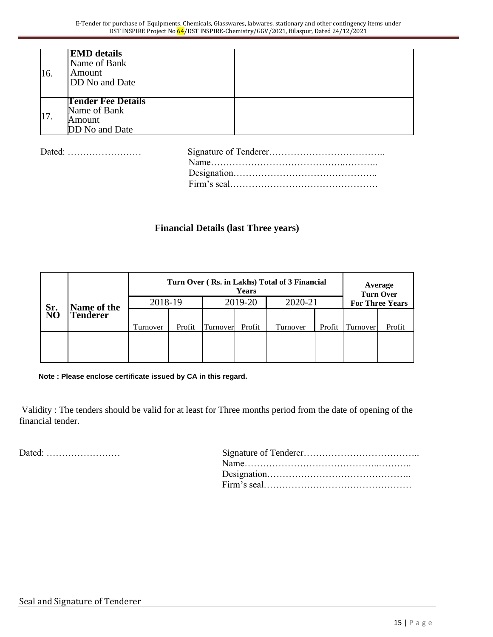| I <sub>16</sub> . | <b>EMD</b> details<br>Name of Bank<br>Amount<br>DD No and Date        |
|-------------------|-----------------------------------------------------------------------|
| 17.               | <b>Tender Fee Details</b><br>Name of Bank<br>Amount<br>DD No and Date |

Dated: …………………… Signature of Tenderer………………………………..

| Dated: |  |
|--------|--|
|        |  |
|        |  |
|        |  |

#### **Financial Details (last Three years)**

|             | Turn Over (Rs. in Lakhs) Total of 3 Financial<br>Years |          |                    |          |        |          |        |                        | Average<br><b>Turn Over</b> |
|-------------|--------------------------------------------------------|----------|--------------------|----------|--------|----------|--------|------------------------|-----------------------------|
| Name of the |                                                        |          | 2019-20<br>2018-19 |          |        | 2020-21  |        | <b>For Three Years</b> |                             |
| Sr.<br>NO   | <b>Tenderer</b>                                        |          |                    |          |        |          |        |                        |                             |
|             |                                                        | Turnover | Profit             | Turnover | Profit | Turnover | Profit | Turnover               | Profit                      |
|             |                                                        |          |                    |          |        |          |        |                        |                             |

**Note : Please enclose certificate issued by CA in this regard.**

Validity : The tenders should be valid for at least for Three months period from the date of opening of the financial tender.

Dated: ……………………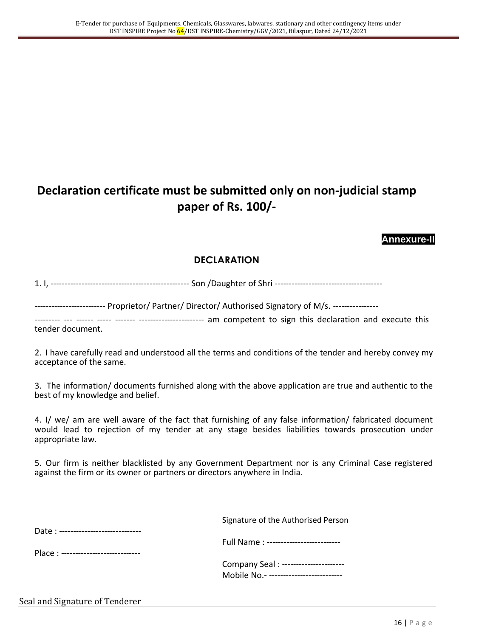# **Declaration certificate must be submitted only on non-judicial stamp paper of Rs. 100/-**

#### **Annexure-II**

#### **DECLARATION**

1. I, ------------------------------------------------- Son /Daughter of Shri --------------------------------------

------------------------- Proprietor/ Partner/ Director/ Authorised Signatory of M/s. ----------------

--------- --- ------ ----- ------- ----------------------- am competent to sign this declaration and execute this tender document.

2. I have carefully read and understood all the terms and conditions of the tender and hereby convey my acceptance of the same.

3. The information/ documents furnished along with the above application are true and authentic to the best of my knowledge and belief.

4. I/ we/ am are well aware of the fact that furnishing of any false information/ fabricated document would lead to rejection of my tender at any stage besides liabilities towards prosecution under appropriate law.

5. Our firm is neither blacklisted by any Government Department nor is any Criminal Case registered against the firm or its owner or partners or directors anywhere in India.

|                                       | Signature of the Authorised Person     |
|---------------------------------------|----------------------------------------|
| Date: ------------------------------  |                                        |
|                                       | Full Name : -------------------------- |
| Place : ----------------------------- |                                        |
|                                       | Company Seal : ----------------------  |
|                                       | Mobile No.- -------------------------- |
|                                       |                                        |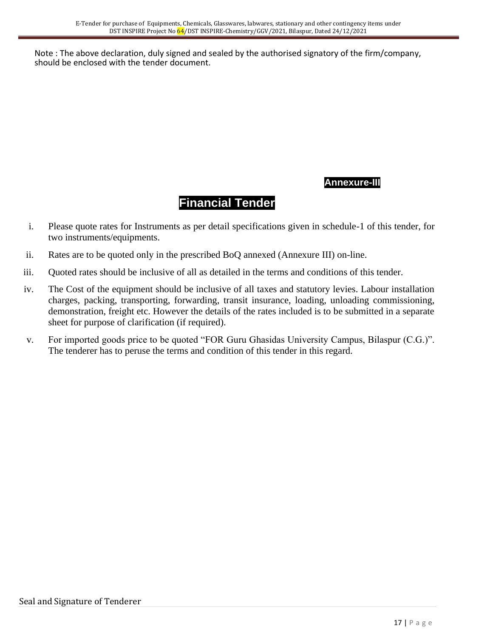Note : The above declaration, duly signed and sealed by the authorised signatory of the firm/company, should be enclosed with the tender document.

## **Annexure-III**

# **Financial Tender**

- i. Please quote rates for Instruments as per detail specifications given in schedule-1 of this tender, for two instruments/equipments.
- ii. Rates are to be quoted only in the prescribed BoQ annexed (Annexure III) on-line.
- iii. Quoted rates should be inclusive of all as detailed in the terms and conditions of this tender.
- iv. The Cost of the equipment should be inclusive of all taxes and statutory levies. Labour installation charges, packing, transporting, forwarding, transit insurance, loading, unloading commissioning, demonstration, freight etc. However the details of the rates included is to be submitted in a separate sheet for purpose of clarification (if required).
- v. For imported goods price to be quoted "FOR Guru Ghasidas University Campus, Bilaspur (C.G.)". The tenderer has to peruse the terms and condition of this tender in this regard.